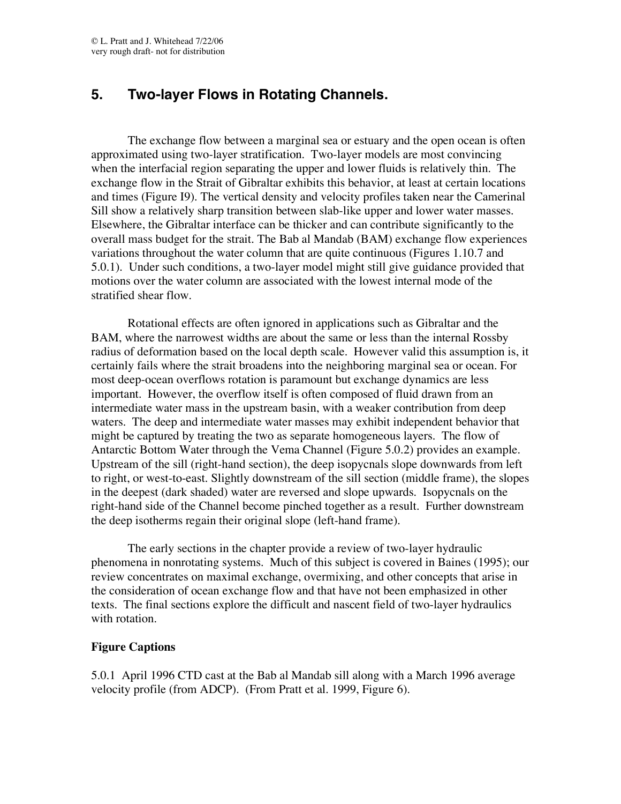# **5. Two-layer Flows in Rotating Channels.**

The exchange flow between a marginal sea or estuary and the open ocean is often approximated using two-layer stratification. Two-layer models are most convincing when the interfacial region separating the upper and lower fluids is relatively thin. The exchange flow in the Strait of Gibraltar exhibits this behavior, at least at certain locations and times (Figure I9). The vertical density and velocity profiles taken near the Camerinal Sill show a relatively sharp transition between slab-like upper and lower water masses. Elsewhere, the Gibraltar interface can be thicker and can contribute significantly to the overall mass budget for the strait. The Bab al Mandab (BAM) exchange flow experiences variations throughout the water column that are quite continuous (Figures 1.10.7 and 5.0.1). Under such conditions, a two-layer model might still give guidance provided that motions over the water column are associated with the lowest internal mode of the stratified shear flow.

Rotational effects are often ignored in applications such as Gibraltar and the BAM, where the narrowest widths are about the same or less than the internal Rossby radius of deformation based on the local depth scale. However valid this assumption is, it certainly fails where the strait broadens into the neighboring marginal sea or ocean. For most deep-ocean overflows rotation is paramount but exchange dynamics are less important. However, the overflow itself is often composed of fluid drawn from an intermediate water mass in the upstream basin, with a weaker contribution from deep waters. The deep and intermediate water masses may exhibit independent behavior that might be captured by treating the two as separate homogeneous layers. The flow of Antarctic Bottom Water through the Vema Channel (Figure 5.0.2) provides an example. Upstream of the sill (right-hand section), the deep isopycnals slope downwards from left to right, or west-to-east. Slightly downstream of the sill section (middle frame), the slopes in the deepest (dark shaded) water are reversed and slope upwards. Isopycnals on the right-hand side of the Channel become pinched together as a result. Further downstream the deep isotherms regain their original slope (left-hand frame).

The early sections in the chapter provide a review of two-layer hydraulic phenomena in nonrotating systems. Much of this subject is covered in Baines (1995); our review concentrates on maximal exchange, overmixing, and other concepts that arise in the consideration of ocean exchange flow and that have not been emphasized in other texts. The final sections explore the difficult and nascent field of two-layer hydraulics with rotation.

## **Figure Captions**

5.0.1 April 1996 CTD cast at the Bab al Mandab sill along with a March 1996 average velocity profile (from ADCP). (From Pratt et al. 1999, Figure 6).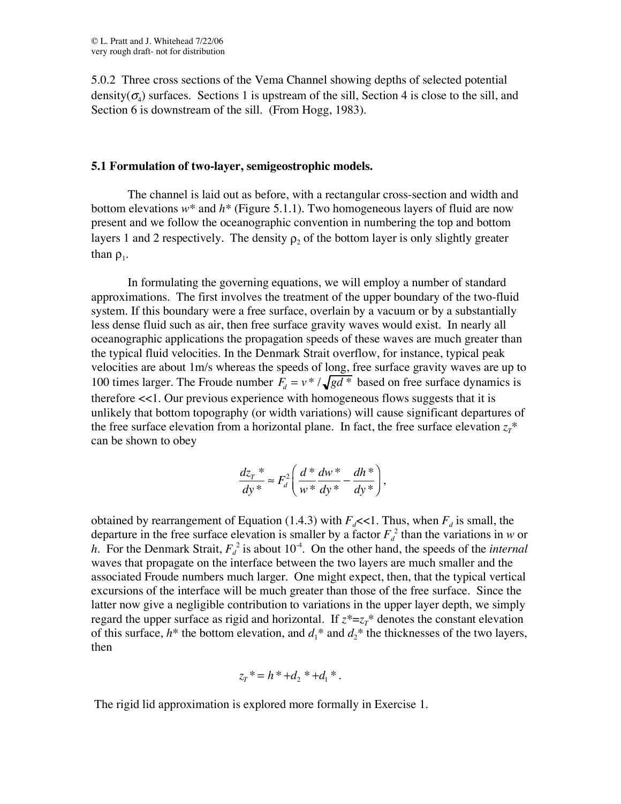5.0.2 Three cross sections of the Vema Channel showing depths of selected potential density( $\sigma$ <sub>4</sub>) surfaces. Sections 1 is upstream of the sill, Section 4 is close to the sill, and Section 6 is downstream of the sill. (From Hogg, 1983).

#### **5.1 Formulation of two-layer, semigeostrophic models.**

The channel is laid out as before, with a rectangular cross-section and width and bottom elevations *w\** and *h\** (Figure 5.1.1). Two homogeneous layers of fluid are now present and we follow the oceanographic convention in numbering the top and bottom layers 1 and 2 respectively. The density  $\rho_2$  of the bottom layer is only slightly greater than  $\rho_{1}$ .

In formulating the governing equations, we will employ a number of standard approximations. The first involves the treatment of the upper boundary of the two-fluid system. If this boundary were a free surface, overlain by a vacuum or by a substantially less dense fluid such as air, then free surface gravity waves would exist. In nearly all oceanographic applications the propagation speeds of these waves are much greater than the typical fluid velocities. In the Denmark Strait overflow, for instance, typical peak velocities are about 1m/s whereas the speeds of long, free surface gravity waves are up to 100 times larger. The Froude number  $F_d = v^* / \sqrt{gd^*}$  based on free surface dynamics is therefore <<1. Our previous experience with homogeneous flows suggests that it is unlikely that bottom topography (or width variations) will cause significant departures of the free surface elevation from a horizontal plane. In fact, the free surface elevation  $z_t^*$ can be shown to obey

$$
\frac{dz_T^*}{dy^*} \approx F_d^2 \left( \frac{d^*}{w^*} \frac{dw^*}{dy^*} - \frac{dh^*}{dy^*} \right),
$$

obtained by rearrangement of Equation (1.4.3) with  $F_d$  <<1. Thus, when  $F_d$  is small, the departure in the free surface elevation is smaller by a factor  $F_d^2$  than the variations in *w* or *h*. For the Denmark Strait,  $F_d^2$  is about  $10^4$ . On the other hand, the speeds of the *internal* waves that propagate on the interface between the two layers are much smaller and the associated Froude numbers much larger. One might expect, then, that the typical vertical excursions of the interface will be much greater than those of the free surface. Since the latter now give a negligible contribution to variations in the upper layer depth, we simply regard the upper surface as rigid and horizontal. If  $z^* = z_T^*$  denotes the constant elevation of this surface,  $h^*$  the bottom elevation, and  $d_1^*$  and  $d_2^*$  the thicknesses of the two layers, then

$$
z_T^* = h^* + d_2^* + d_1^*.
$$

The rigid lid approximation is explored more formally in Exercise 1.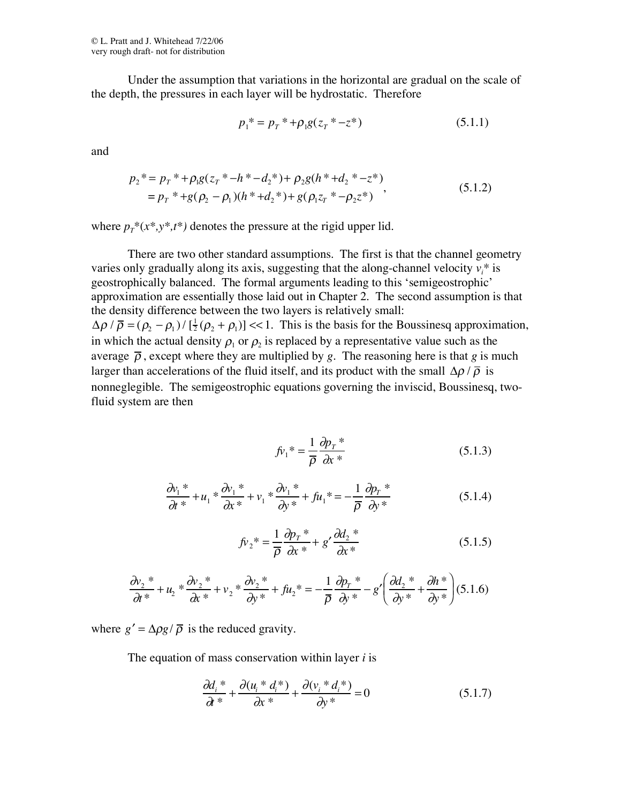Under the assumption that variations in the horizontal are gradual on the scale of the depth, the pressures in each layer will be hydrostatic. Therefore

$$
p_1^* = p_T^* + \rho_1 g(z_T^* - z^*)
$$
\n(5.1.1)

and

$$
p_2^* = p_T^* + \rho_1 g (z_T^* - h^* - d_2^*) + \rho_2 g (h^* + d_2^* - z^*)
$$
  
=  $p_T^* + g (\rho_2 - \rho_1) (h^* + d_2^*) + g (\rho_1 z_T^* - \rho_2 z^*)$  (5.1.2)

where  $p_r^*(x^*,y^*,t^*)$  denotes the pressure at the rigid upper lid.

There are two other standard assumptions. The first is that the channel geometry varies only gradually along its axis, suggesting that the along-channel velocity  $v_i^*$  is geostrophically balanced. The formal arguments leading to this 'semigeostrophic' approximation are essentially those laid out in Chapter 2. The second assumption is that the density difference between the two layers is relatively small:  $\Delta \rho / \overline{\rho} = (\rho_2 - \rho_1) / [\frac{1}{2}(\rho_2 + \rho_1)]$  <<1. This is the basis for the Boussinesq approximation, in which the actual density  $\rho_1$  or  $\rho_2$  is replaced by a representative value such as the average  $\bar{\rho}$ , except where they are multiplied by *g*. The reasoning here is that *g* is much larger than accelerations of the fluid itself, and its product with the small  $\Delta\rho$  /  $\overline{\rho}$  is nonneglegible. The semigeostrophic equations governing the inviscid, Boussinesq, twofluid system are then

$$
f_{v_1}^* = \frac{1}{\overline{\rho}} \frac{\partial p_\tau^*}{\partial x^*}
$$
\n(5.1.3)

$$
\frac{\partial v_1^*}{\partial t^*} + u_1^* \frac{\partial v_1^*}{\partial x^*} + v_1^* \frac{\partial v_1^*}{\partial y^*} + fu_1^* = -\frac{1}{\overline{\rho}} \frac{\partial p_r^*}{\partial y^*}
$$
(5.1.4)

$$
\hat{p}_2^* = \frac{1}{\overline{\rho}} \frac{\partial p_\tau^*}{\partial x^*} + g' \frac{\partial d_2^*}{\partial x^*}
$$
\n(5.1.5)

$$
\frac{\partial v_2^*}{\partial t^*} + u_2^* \frac{\partial v_2^*}{\partial x^*} + v_2^* \frac{\partial v_2^*}{\partial y^*} + fu_2^* = -\frac{1}{\overline{\rho}} \frac{\partial p_r^*}{\partial y^*} - g' \left( \frac{\partial d_2^*}{\partial y^*} + \frac{\partial h^*}{\partial y^*} \right) (5.1.6)
$$

where  $g' = \Delta \rho g / \bar{\rho}$  is the reduced gravity.

The equation of mass conservation within layer *i* is

$$
\frac{\partial d_i^*}{\partial t^*} + \frac{\partial (u_i^* d_i^*)}{\partial x^*} + \frac{\partial (v_i^* d_i^*)}{\partial y^*} = 0
$$
\n(5.1.7)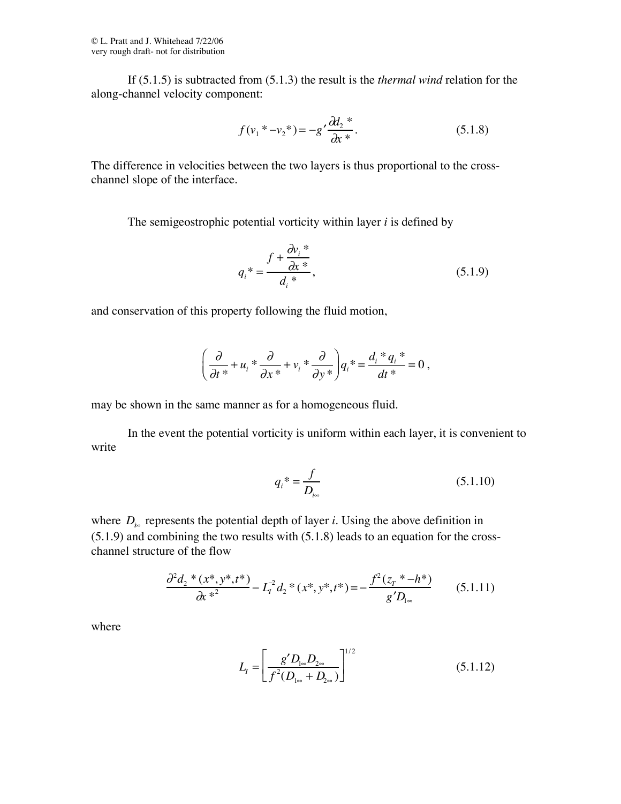If (5.1.5) is subtracted from (5.1.3) the result is the *thermal wind* relation for the along-channel velocity component:

$$
f(v_1 * -v_2*) = -g'\frac{\partial l_2 *}{\partial x *}.
$$
 (5.1.8)

The difference in velocities between the two layers is thus proportional to the crosschannel slope of the interface.

The semigeostrophic potential vorticity within layer *i* is defined by

$$
q_i^* = \frac{f + \frac{\partial v_i^*}{\partial x^*}}{d_i^*},
$$
\n(5.1.9)

and conservation of this property following the fluid motion,

$$
\left(\frac{\partial}{\partial t^*} + u_i^* \frac{\partial}{\partial x^*} + v_i^* \frac{\partial}{\partial y^*}\right) q_i^* = \frac{d_i^* q_i^*}{dt^*} = 0,
$$

may be shown in the same manner as for a homogeneous fluid.

In the event the potential vorticity is uniform within each layer, it is convenient to write

$$
q_i^* = \frac{f}{D_{i\infty}}\tag{5.1.10}
$$

where  $D_{i_{\infty}}$  represents the potential depth of layer *i*. Using the above definition in (5.1.9) and combining the two results with (5.1.8) leads to an equation for the crosschannel structure of the flow

$$
\frac{\partial^2 d_2 * (x^*, y^*, t^*)}{\partial x^{*2}} - L_l^{-2} d_2 * (x^*, y^*, t^*) = -\frac{f^2 (z_t^* + h^*)}{g' D_{l^{\infty}}}
$$
(5.1.11)

where

$$
L_{1} = \left[\frac{g'D_{1\infty}D_{2\infty}}{f^{2}(D_{1\infty} + D_{2\infty})}\right]^{1/2}
$$
\n(5.1.12)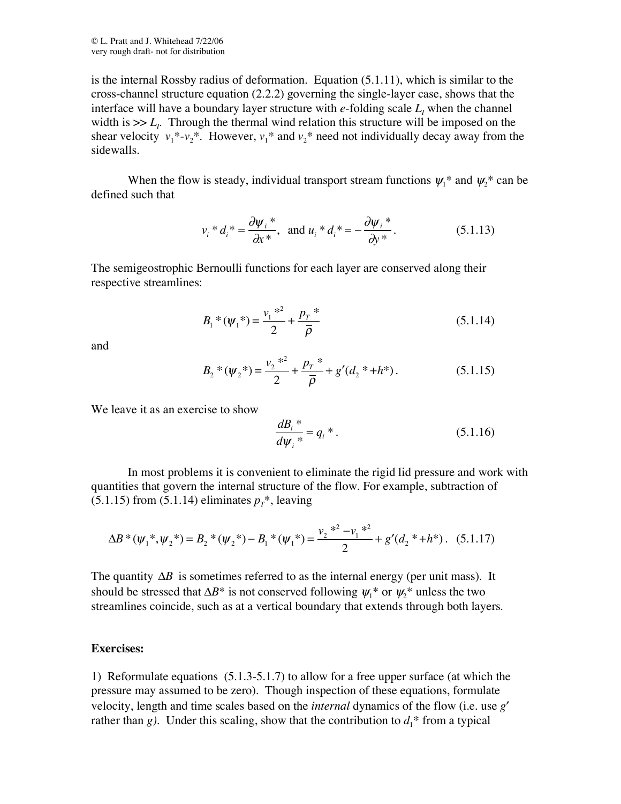is the internal Rossby radius of deformation.Equation (5.1.11), which is similar to the cross-channel structure equation (2.2.2) governing the single-layer case, shows that the interface will have a boundary layer structure with  $e$ -folding scale  $L<sub>I</sub>$  when the channel width is  $\gg L_I$ . Through the thermal wind relation this structure will be imposed on the shear velocity  $v_1^*$ - $v_2^*$ . However,  $v_1^*$  and  $v_2^*$  need not individually decay away from the sidewalls.

When the flow is steady, individual transport stream functions  $\psi_1^*$  and  $\psi_2^*$  can be defined such that

$$
v_i * d_i * = \frac{\partial \psi_i}{\partial x^*}, \text{ and } u_i * d_i * = -\frac{\partial \psi_i}{\partial y^*}.
$$
 (5.1.13)

The semigeostrophic Bernoulli functions for each layer are conserved along their respective streamlines:

$$
B_1^* (\psi_1^*) = \frac{v_1^{*2}}{2} + \frac{p_T^*}{\overline{\rho}}
$$
\n(5.1.14)

and

$$
B_2^*(\psi_2^*) = \frac{v_2^{*2}}{2} + \frac{p_T^*}{\overline{\rho}} + g'(d_2^* + h^*).
$$
 (5.1.15)

We leave it as an exercise to show

$$
\frac{dB_i^*}{d\psi_i^*} = q_i^* \,. \tag{5.1.16}
$$

In most problems it is convenient to eliminate the rigid lid pressure and work with quantities that govern the internal structure of the flow. For example, subtraction of  $(5.1.15)$  from  $(5.1.14)$  eliminates  $p_T^*$ , leaving

$$
\Delta B^*(\psi_1^*, \psi_2^*) = B_2^*(\psi_2^*) - B_1^*(\psi_1^*) = \frac{v_2^{2^2 - v_1^{2^2}}}{2} + g'(d_2^* + h^*). \tag{5.1.17}
$$

The quantity  $\Delta B$  is sometimes referred to as the internal energy (per unit mass). It should be stressed that  $\Delta B^*$  is not conserved following  $\psi_1^*$  or  $\psi_2^*$  unless the two streamlines coincide, such as at a vertical boundary that extends through both layers.

### **Exercises:**

1) Reformulate equations (5.1.3-5.1.7) to allow for a free upper surface (at which the pressure may assumed to be zero). Though inspection of these equations, formulate velocity, length and time scales based on the *internal* dynamics of the flow (i.e. use *g*′ rather than *g*). Under this scaling, show that the contribution to  $d_1^*$  from a typical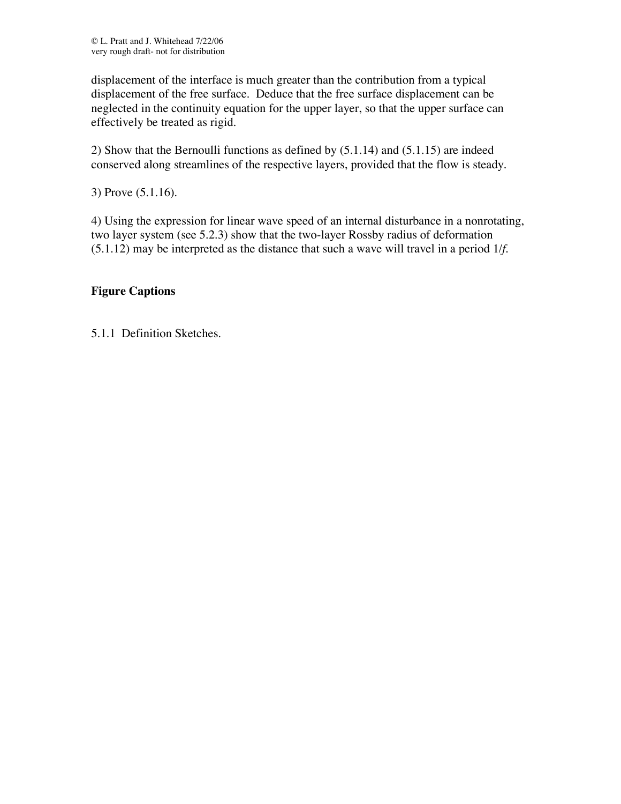displacement of the interface is much greater than the contribution from a typical displacement of the free surface. Deduce that the free surface displacement can be neglected in the continuity equation for the upper layer, so that the upper surface can effectively be treated as rigid.

2) Show that the Bernoulli functions as defined by (5.1.14) and (5.1.15) are indeed conserved along streamlines of the respective layers, provided that the flow is steady.

3) Prove (5.1.16).

4) Using the expression for linear wave speed of an internal disturbance in a nonrotating, two layer system (see 5.2.3) show that the two-layer Rossby radius of deformation (5.1.12) may be interpreted as the distance that such a wave will travel in a period 1/*f*.

# **Figure Captions**

5.1.1 Definition Sketches.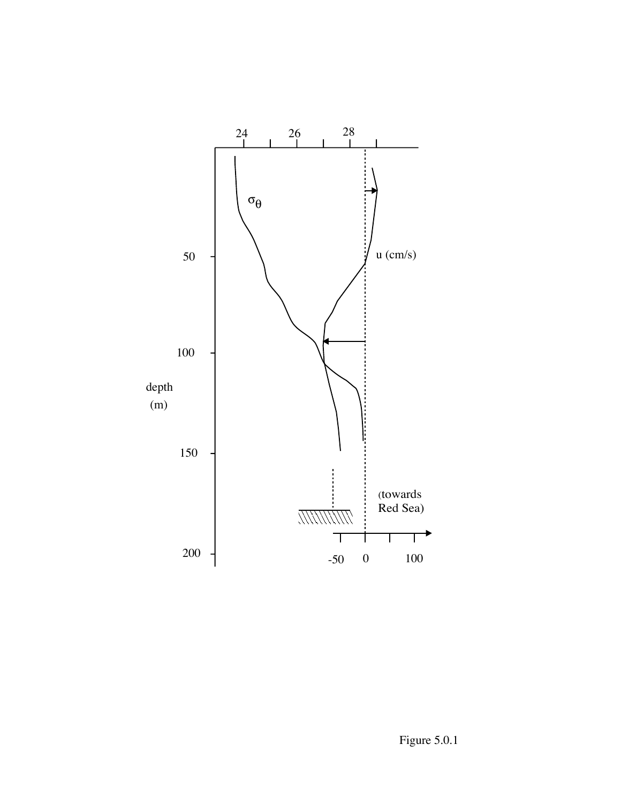

Figure 5.0.1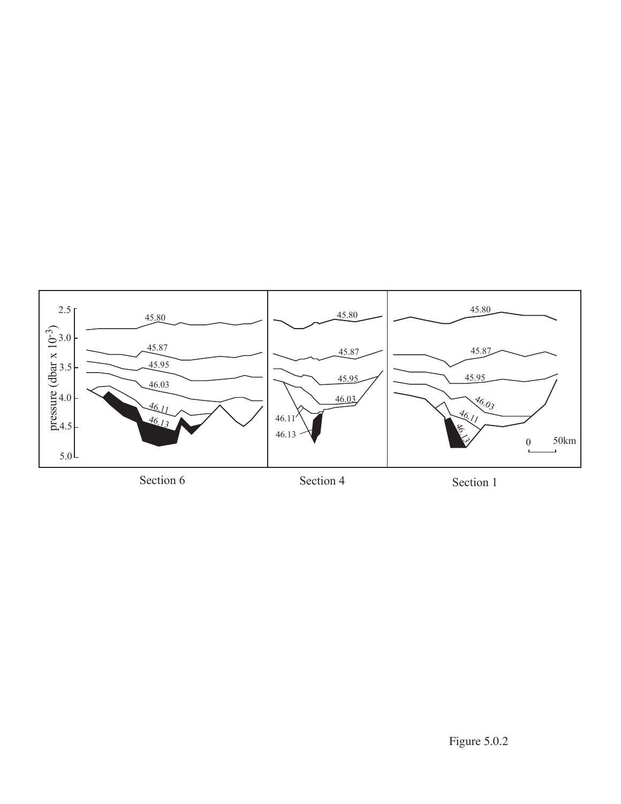